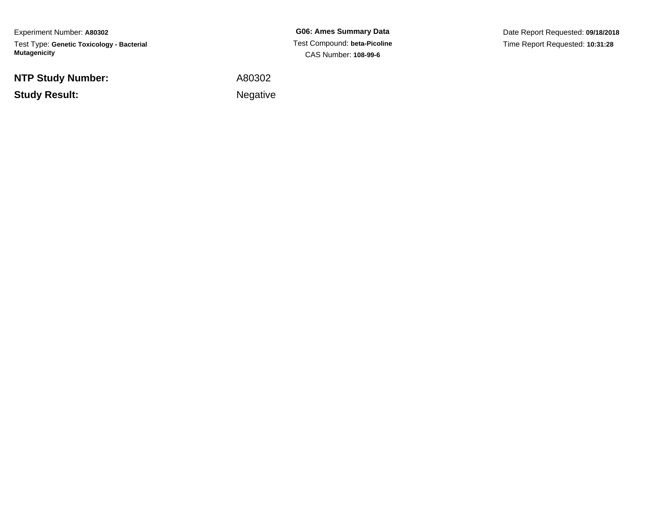Experiment Number: **A80302**Test Type: **Genetic Toxicology - Bacterial Mutagenicity**

**NTP Study Number:**

**Study Result:**

**G06: Ames Summary Data** Test Compound: **beta-Picoline**CAS Number: **108-99-6**

Date Report Requested: **09/18/2018**Time Report Requested: **10:31:28**

 A80302Negative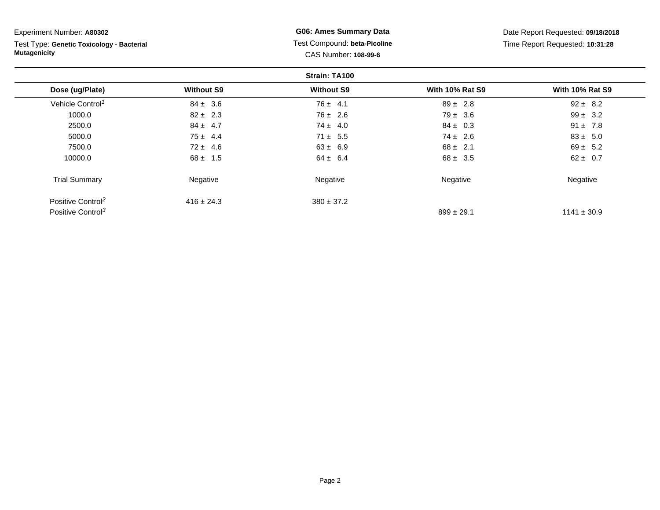| Experiment Number: A80302                 | <b>G06: Ames Summary Data</b><br>Test Compound: beta-Picoline<br>CAS Number: 108-99-6 |                   |                        | Date Report Requested: 09/18/2018<br>Time Report Requested: 10:31:28 |  |  |  |  |
|-------------------------------------------|---------------------------------------------------------------------------------------|-------------------|------------------------|----------------------------------------------------------------------|--|--|--|--|
| Test Type: Genetic Toxicology - Bacterial |                                                                                       |                   |                        |                                                                      |  |  |  |  |
| <b>Mutagenicity</b>                       |                                                                                       |                   |                        |                                                                      |  |  |  |  |
| <b>Strain: TA100</b>                      |                                                                                       |                   |                        |                                                                      |  |  |  |  |
| Dose (ug/Plate)                           | <b>Without S9</b>                                                                     | <b>Without S9</b> | <b>With 10% Rat S9</b> | <b>With 10% Rat S9</b>                                               |  |  |  |  |
| Vehicle Control <sup>1</sup>              | $84 \pm 3.6$                                                                          | $76 \pm 4.1$      | $89 \pm 2.8$           | $92 \pm 8.2$                                                         |  |  |  |  |
| 1000.0                                    | $82 \pm 2.3$                                                                          | $76 \pm 2.6$      | $79 \pm 3.6$           | $99 \pm 3.2$                                                         |  |  |  |  |
| 2500.0                                    | $84 \pm 4.7$                                                                          | $74 \pm 4.0$      | $84 \pm 0.3$           | $91 \pm 7.8$                                                         |  |  |  |  |
| 5000.0                                    | $75 \pm 4.4$                                                                          | $71 \pm 5.5$      | $74 \pm 2.6$           | $83 \pm 5.0$                                                         |  |  |  |  |
| 7500.0                                    | $72 \pm 4.6$                                                                          | $63 \pm 6.9$      | $68 \pm 2.1$           | $69 \pm 5.2$                                                         |  |  |  |  |
| 10000.0                                   | $68 \pm 1.5$                                                                          | $64 \pm 6.4$      | $68 \pm 3.5$           | $62 \pm 0.7$                                                         |  |  |  |  |
| <b>Trial Summary</b>                      | Negative                                                                              | Negative          | Negative               | Negative                                                             |  |  |  |  |
| Positive Control <sup>2</sup>             | $416 \pm 24.3$                                                                        | $380 \pm 37.2$    |                        |                                                                      |  |  |  |  |
| Positive Control <sup>3</sup>             |                                                                                       |                   | $899 \pm 29.1$         | $1141 \pm 30.9$                                                      |  |  |  |  |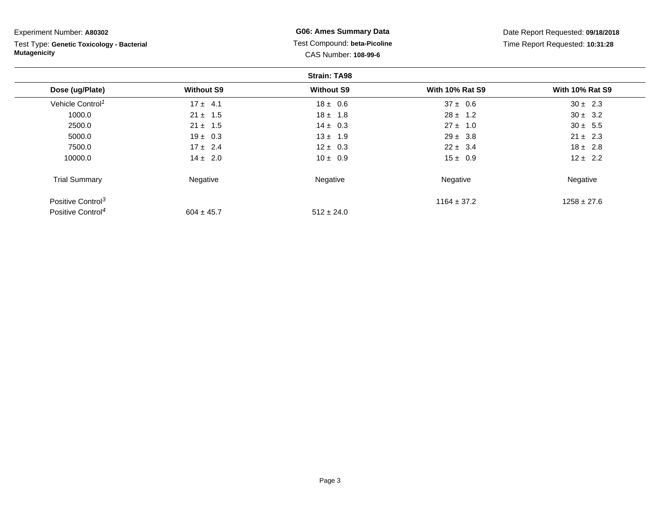| Experiment Number: A80302                 |                              | <b>G06: Ames Summary Data</b> |                        | Date Report Requested: 09/18/2018 |  |  |  |  |
|-------------------------------------------|------------------------------|-------------------------------|------------------------|-----------------------------------|--|--|--|--|
| Test Type: Genetic Toxicology - Bacterial | Test Compound: beta-Picoline |                               |                        | Time Report Requested: 10:31:28   |  |  |  |  |
| <b>Mutagenicity</b>                       |                              | CAS Number: 108-99-6          |                        |                                   |  |  |  |  |
| <b>Strain: TA98</b>                       |                              |                               |                        |                                   |  |  |  |  |
| Dose (ug/Plate)                           | <b>Without S9</b>            | <b>Without S9</b>             | <b>With 10% Rat S9</b> | <b>With 10% Rat S9</b>            |  |  |  |  |
| Vehicle Control <sup>1</sup>              | $17 \pm 4.1$                 | $18 \pm 0.6$                  | $37 \pm 0.6$           | $30 \pm 2.3$                      |  |  |  |  |
| 1000.0                                    | $21 \pm 1.5$                 | $18 \pm 1.8$                  | $28 \pm 1.2$           | $30 \pm 3.2$                      |  |  |  |  |
| 2500.0                                    | $21 \pm 1.5$                 | $14 \pm 0.3$                  | $27 \pm 1.0$           | $30 \pm 5.5$                      |  |  |  |  |
| 5000.0                                    | $19 \pm 0.3$                 | $13 \pm 1.9$                  | $29 \pm 3.8$           | $21 \pm 2.3$                      |  |  |  |  |
| 7500.0                                    | $17 \pm 2.4$                 | $12 \pm 0.3$                  | $22 \pm 3.4$           | $18 \pm 2.8$                      |  |  |  |  |
| 10000.0                                   | $14 \pm 2.0$                 | $10 \pm 0.9$                  | $15 \pm 0.9$           | $12 \pm 2.2$                      |  |  |  |  |
| <b>Trial Summary</b>                      | Negative                     | Negative                      | Negative               | Negative                          |  |  |  |  |
| Positive Control <sup>3</sup>             |                              |                               | $1164 \pm 37.2$        | $1258 \pm 27.6$                   |  |  |  |  |
| Positive Control <sup>4</sup>             | $604 \pm 45.7$               | $512 \pm 24.0$                |                        |                                   |  |  |  |  |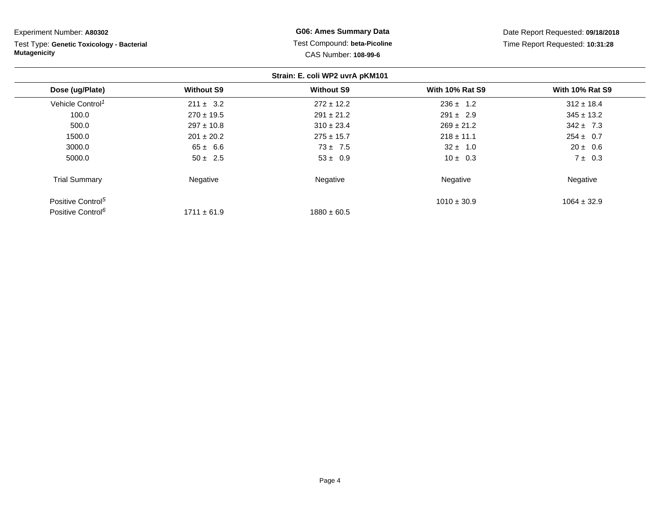| Experiment Number: A80302                 | <b>G06: Ames Summary Data</b><br>Test Compound: beta-Picoline |                   |                        | Date Report Requested: 09/18/2018 |  |  |  |  |
|-------------------------------------------|---------------------------------------------------------------|-------------------|------------------------|-----------------------------------|--|--|--|--|
| Test Type: Genetic Toxicology - Bacterial |                                                               |                   |                        | Time Report Requested: 10:31:28   |  |  |  |  |
| <b>Mutagenicity</b>                       |                                                               |                   |                        |                                   |  |  |  |  |
| Strain: E. coli WP2 uvrA pKM101           |                                                               |                   |                        |                                   |  |  |  |  |
| Dose (ug/Plate)                           | <b>Without S9</b>                                             | <b>Without S9</b> | <b>With 10% Rat S9</b> | <b>With 10% Rat S9</b>            |  |  |  |  |
| Vehicle Control <sup>1</sup>              | $211 \pm 3.2$                                                 | $272 \pm 12.2$    | $236 \pm 1.2$          | $312 \pm 18.4$                    |  |  |  |  |
| 100.0                                     | $270 \pm 19.5$                                                | $291 \pm 21.2$    | $291 \pm 2.9$          | $345 \pm 13.2$                    |  |  |  |  |
| 500.0                                     | $297 \pm 10.8$                                                | $310 \pm 23.4$    | $269 \pm 21.2$         | $342 \pm 7.3$                     |  |  |  |  |
| 1500.0                                    | $201 \pm 20.2$                                                | $275 \pm 15.7$    | $218 \pm 11.1$         | $254 \pm 0.7$                     |  |  |  |  |
| 3000.0                                    | $65 \pm 6.6$                                                  | $73 \pm 7.5$      | $32 \pm 1.0$           | $20 \pm 0.6$                      |  |  |  |  |
| 5000.0                                    | $50 \pm 2.5$                                                  | $53 \pm 0.9$      | $10 \pm 0.3$           | $7 \pm 0.3$                       |  |  |  |  |
| <b>Trial Summary</b>                      | Negative                                                      | Negative          | Negative               | Negative                          |  |  |  |  |
| Positive Control <sup>5</sup>             |                                                               |                   | $1010 \pm 30.9$        | $1064 \pm 32.9$                   |  |  |  |  |
| Positive Control <sup>6</sup>             | $1711 \pm 61.9$                                               | $1880 \pm 60.5$   |                        |                                   |  |  |  |  |